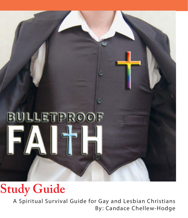

# **Study Guide**

A Spiritual Survival Guide for Gay and Lesbian Christians By: Candace Chellew-Hodge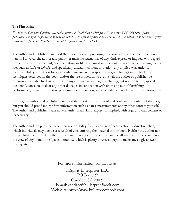#### **The Fine Print**

© *2008 by Candace Chellew. All rights reserved. Published by InSpirit Enterprises LLC. No part of this publication may be reproduced or redistributed in any form by any means, or stored in a database or retrieval system without the prior written permission of InSpirit Enterprises LLC.* 

The author and publisher have used their best efforts in preparing this book and the document contained herein. However, the author and publisher make no warranties of any kind, express or implied, with regard to the informational content, documentation, or files contained in this book or in any accompanying media files such as CDs or DVDs, and specifically disclaim, without limitation, any implied warranties of merchantability and fitness for a particular purpose, with respect to program listings in the book, the techniques described in the book, and/or the use of files. In no event shall the author or publisher be responsible or liable for loss of profit, or any commercial damages, including, but not limited to, special incidental, consequential, or any other damages in connection with or arising out of furnishing, performance, or use of this book, program files, instruction, audio or video connected with this information.

Further, the author and publisher have used their best efforts to proof and confirm the content of the files, but you should proof and confirm information such as dates, measurements or any other content yourself. The author and publisher make no warranties of any kind, express or implied, with regard to that content or its accuracy.

The author and the publisher accept no responsibility for any change of heart, action or direction change which individuals may pursue as a result of encountering the material in this book. Neither the author nor the publisher is licensed to offer professional advice, definitive end all and be all answers, and certainly not the view of any monolithic "gay community," which is plenty diverse enough to make any single answer inadequate.

> For more information contact us at: InSpirit Enterprises LLC PO Box 727 Camden, SC 29021 Email: candace@bulletproofbook.com Web Site: http://www.bulletproofbook.com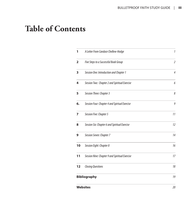## **Table of Contents**

| 1                   | A Letter From Candace Chellew-Hodge            | 1              |
|---------------------|------------------------------------------------|----------------|
| $\overline{2}$      | Five Steps to a Successful Book Group          | $\overline{2}$ |
| 3                   | Session One: Introduction and Chapter 1        | $\overline{4}$ |
| 4                   | Session Two: Chapter 2 and Spiritual Exercise  | 6              |
| 5                   | Session Three: Chapter 3                       | 8              |
| 6.                  | Session Four: Chapter 4 and Spirtual Exercise  | 9              |
| 7                   | Session Five: Chapter 5                        | 11             |
| 8                   | Session Six: Chapter 6 and Spiritual Exercise  | 12             |
| 9                   | Session Seven: Chapter 7                       | 14             |
| 10                  | Session Eight: Chapter 8                       | 16             |
| 11                  | Session Nine: Chapter 9 and Spiritual Exercise | 17             |
| 12                  | <b>Closing Questions</b>                       | 18             |
| <b>Bibliography</b> |                                                | 19             |
| <b>Websites</b>     |                                                | 20             |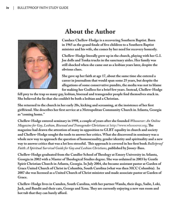

## **About the Author**

**Candace Chellew-Hodge is a recovering Southern Baptist. Born in 1965 as the grand finale of five children to a Southern Baptist minister and his wife, she comes by her need for recovery honestly.** 

**Chellew-Hodge literally grew up in the church, playing with her G.I. Joe dolls and Tonka trucks in the sanctuary aisles. Her family was still shocked when she came out as a lesbian years later, despite the obvious clues.** 

**She gave up her faith at age 17, about the same time she entered a career in journalism that would span some 25 years, but despite the allegations of some conservative pundits, the media was not to blame for making her Godless for a brief few years. Instead, Chellew-Hodge** 

**fell prey to the trap so many gay, lesbian, bisexual and transgender people find themselves stuck in. She believed the lie that she couldn't be both a lesbian and a Christian.** 

**She returned to the church in her early 20s, kicking and screaming, at the insistence of her first girlfriend. She describes her first service at a Metropolitan Community Church in Atlanta, Georgia as "coming home."** 

**Chellew-Hodge entered seminary in 1998, a couple of years after she founded** *Whosoever: An Online Magazine for Gay, Lesbian, Bisexual and Transgender Christians* at http://www.whosoever.org**. The magazine had drawn the attention of many in opposition to GLBT equality in church and society and Chellew-Hodge sought the tools to answer her critics. What she discovered in seminary was a whole new way to approach the question of homosexuality, gender identity and spirituality and a new way to answer critics that was a lot less stressful. This approach is covered in her first book** *Bulletproof Faith: A Spiritual Survival Guide for Gay and Lesbian Christians***, published by Jossey-Bass.**

**Chellew-Hodge graduated from the Candler School of Theology at Emory University in Atlanta, Georgia in 2002 with a Master of Theological Studies degree. She was ordained in 2003 by Gentle Spirit Christian Church in Atlanta, Georgia. In July 2004, she became assistant pastor at Garden of Grace United Church of Christ in Columbia, South Carolina (what was then MCC Columbia). In 2007 she was licensed as a United Church of Christ minister and made associate pastor at Garden of Grace.** 

**Chellew-Hodge lives in Camden, South Carolina, with her partner Wanda, their dogs, Sadie, Loki, Jack, and Bandit and their cats, George and Xena. They are currently enjoying a new sun room and hot tub that they can barely afford.**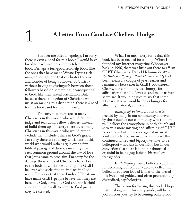# 1 **A Letter From Candace Chellew-Hodge**

First, let me offer an apology. I'm sorry there is even a need for this book. I would have loved to have written a completely different book. Perhaps a feel-good self-help book, like the ones that have made Wayne Dyer a rich man, or perhaps one that celebrates the awe and wonder of being a follower of Christ without having to distinguish between those followers based on something inconsequential to God, like their sexual orientation. But, because there is a faction of Christians who insist on making this distinction, there is a need for this book, and for that I'm sorry.

I'm sorry that there are so many Christians in this world who would rather judge and tear down fellow believers instead of build them up. I'm sorry there are so many Christians in this world who would rather exclude than include others in God's grace. I'm sorry there are so many Christians in this world who would rather argue over a few biblical passages of dubious meaning than seek common ground around the law of love that Jesus came to proclaim. I'm sorry for the damage these kinds of Christians have done to the body of Christ - wounding the GLBT believer who seeks find their place in God's realm. I'm sorry that these kinds of Christians have made GLBT people believe that they are hated by God, cursed by God and not faithful enough in their walk to come to God just as they are created.

What I'm most sorry for is that this book has been needed for so long. When I founded my Internet magazine Whosoever back in 1996, there was little out there to affirm GLBT Christians. Daniel Helminiak's *What the Bible Really Says About Homosexuality* had been released a couple of years earlier and remained a best seller in GLBT bookstores. Clearly, our community was hungry for affirmation that God loves us and made us just as we are. It would be nice to say that some 13 years later we wouldn't be as hungry for affirming material, but we are.

*Bulletproof Faith* is a book that is needed by many in our community and even by those outside our community who support us. I believe the atmosphere in both church and society is more inviting and affirming of GLBT people now, but the voices against us are still loud and often persuasive. To counteract this continued hatred and bigotry, we have to be bulletproof - not just in our faith, but in our conviction that there is nothing abnormal or sinful in being gay, lesbian, bisexual or transgender.

In *Bulletproof Faith*, I offer a blueprint for becoming bulletproof - able to deflect the bullets fired from loaded Bibles or the biased missives of misguided, and often professionally discredited, psychologists.

Thank you for buying this book. I hope that it, along with this study guide, will help you on your journey to becoming bulletproof.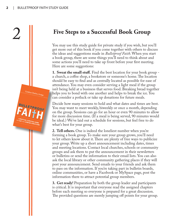## 2 **Five Steps to a Successful Book Group**

You may use this study guide for private study if you wish, but you'll get more out of this book if you come together with others to discuss the ideas and suggestions made in *Bulletproof Faith*. When you start a book group, there are some things you'll need to think about and some actions you'll need to take up front before your first meeting. Here are some suggestions:

**1. Sweat the small stuff.** Find the best location for your book group a church, a coffee shop, a bookstore or someone's home. The location should be easy to find and as centrally located as possible for ease of attendance. You may even consider serving a light meal if the group isn't being held at a business that serves food. Breaking bread together helps you to bond with one another and helps to break the ice. You can consider a potluck or take up donations for future meals.

Decide how many sessions to hold and what dates and times are best. You may want to meet weekly, biweekly or once a month, depending on the group. Sessions can go for an hour or even 90 minutes to allow for more discussion time. (If a meal is being served, 90 minutes would be ideal.) We've laid out a schedule for sessions, but feel free to do what's best for your group.

**2. Tell others.** One is indeed the loneliest number when you're forming a book group. To make sure your group grows, you'll need to let others know about it. There are plenty of free ways to publicize your group. Write up a short announcement including dates, times and meeting locations. Contact local churches, schools or community groups and ask them to put the announcement in their newsletters or bulletins or send the information to their email lists. You can also ask the local library or other community gathering places if they will post your announcement. Send emails to your friends and ask them to pass on the information. If you're taking part in bulletin boards, online communities, or have a Facebook or MySpace page, post the information there to attract potential group members.

**3. Get ready!** Preparation by both the group leader and participants is critical. It is important that everyone read the assigned chapters before each meeting so everyone is prepared for a great discussion. The provided questions are merely jumping off points for your group.

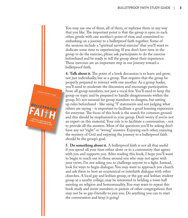You may use one of them, all of them, or rephrase them in any way that you like. The important point is that the group is open to each other, gentle with one another's point of view, and committed to embarking on a journey to a bulletproof faith together. Some of the sessions include a "spiritual survival exercise" that you'll want to dedicate some time to experiencing. If you don't have time in the group to do the exercise, please ask participants to do the exercise beforehand and be ready to tell the group about their experience. These exercises are an important step in our journey toward a bulletproof faith.

**4. Talk about it.** The point of a book discussion is to learn and grow, not just individually, but as a group. That requires that the group be properly prepared to interact with one another. As a group leader, you'll need to moderate the discussion and encourage participation from all group members, not just a vocal few. You'll need to keep the group on topic and be prepared to handle disagreements within the group. It's not unusual for group members to disagree, but setting up rules beforehand - like using "I" statements and not judging what others are saying - is important to facilitate a good learning experience for everyone. The focus of this book is the search for common ground and this should be emphasized in your group. Don't worry if you're not an expert on this material. Your role is to facilitate a conversation - not to provide all the answers. Most of the questions you'll be asking don't have any set "right" or "wrong" answers. Enjoying each other, enjoying the mystery of God and enjoying the journey to a bulletproof faith should be the group's goal.

**5. Do something about it.** A bulletproof faith is not all that useful if you spend all your time either alone or in a community that agrees with you and supports you. After reading this book, I hope you'll want to begin to reach out to those around you who may not agree with your views. I'm not asking you to challenge anyone to a fight. Instead, look for ways to begin dialogue. You may want to approach you church and ask them to host an ecumenical or interfaith dialogue with other churches. A local gay and lesbian group, or the gay and lesbian student group at a nearby college, may be interested in holding a town hall meeting on religion and homosexuality. You may want to repeat this book study and invite members or pastors of other congregations that may not be so gay-friendly to join you. Do anything you can to start the conversation and keep it going!

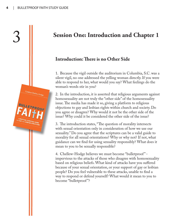## 3 **Session One: Introduction and Chapter 1**

### **Introduction: There is no Other Side**

1. Because the vigil outside the auditorium in Columbia, S.C. was a silent vigil, no one addressed the yelling woman directly. If you were able to respond to her, what would you say? What feelings do the woman's words stir in you?

2. In the introduction, it is asserted that religious arguments against homosexuality are not truly the "other side" of the homosexuality issue. The media has made it so, giving a platform to religious objections to gay and lesbian rights within church and society. Do you agree or disagree? Why would it not be the other side of the issue? Why could it be considered the other side of the issue?

3. The introduction states, "The question of morality intersects with sexual orientation only in consideration of how we use our sexuality." Do you agree that the scriptures can be a valid guide to morality for all sexual orientations? Why or why not? If not, what guidance can we find for using sexuality responsibly? What does it mean to you to be sexually responsible?

4. Chellew-Hodge believes we must become "bulletproof " impervious to the attacks of those who disagree with homosexuality based on religious beliefs. What kind of attacks have you suffered because of your sexual orientation, or your support of gay or lesbian people? Do you feel vulnerable to these attacks, unable to find a way to respond or defend yourself? What would it mean to you to become "bulletproof"?

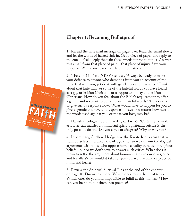

1. Reread the hate mail message on pages 5-6. Read the email slowly and let the words of hatred sink in. Get a piece of paper and reply to the email. Feel deeply the pain those words intend to inflict. Answer this email from that place of pain - that place of injury. Save your response. We'll come back to it later in our study.

2. 1 Peter 3:15b-16a (NRSV) tells us, "Always be ready to make your defense to anyone who demands from you an account of the hope that is in you; yet do it with gentleness and reverence." Think about that hate mail, or some of the hateful words you have heard as a gay or lesbian Christian, or a supporter of gay and lesbian Christians. How do you feel about the Bible's requirement to offer a gentle and reverent response to such hateful words? Are you able to give such a response now? What would have to happen for you to give a "gentle and reverent response" always - no matter how hurtful the words used against you, or those you love, may be?

3. Danish theologian Soren Kierkegaard wrote "Certainly no violent assaulter can murder an immortal spirit. Spiritually, suicide is the only possible death." Do you agree or disagree? Why or why not?

4. In seminary, Chellew-Hodge, like the Karate Kid, learns that we train ourselves in biblical knowledge - not so we can win theological arguments with those who oppose homosexuality because of religious beliefs - but so we don't have to answer such critics. What does it mean to settle the argument about homosexuality in ourselves, once and for all? What would it take for you to have that kind of peace of mind and heart?

5. Review the Spiritual Survival Tips at the end of the chapter on page 10. Discuss each one. Which ones mean the most to you? Which ones do you find impossible to fulfill at this moment? How can you begin to put them into practice?

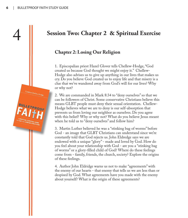## 4 **Session Two: Chapter 2 & Spiritual Exercise**

## **Chapter 2: Losing Our Religion**

1. Episcopalian priest Hazel Glover tells Chellew-Hodge, "God created us because God thought we might enjoy it." Chellew-Hodge also advises us to give up anything in our lives that makes us cry. Do you believe God created us to enjoy life and that misery is a clue that we've wandered away from God's will for our lives? Why or why not?

2. We are commanded in Mark 8:34 to "deny ourselves" so that we can be followers of Christ. Some conservative Christians believe this means GLBT people must deny their sexual orientation. Chellew-Hodge believes what we are to deny is our self-absorption that prevents us from loving our neighbor as ourselves. Do you agree with this belief? Why or why not? What do you believe Jesus meant when he told us to "deny ourselves" and follow him?

3. Martin Luther believed he was a "stinking bag of worms" before God - an image that GLBT Christians can understand since we're constantly told that God rejects us. John Eldredge says we are endowed with a unique "glory" - made and loved by God. How do you feel about your relationship with God - are you a "stinking bag of worms" or a glory-filled child of God? Where do these feelings come from - family, friends, the church, society? Explore the origins of these feelings.

4. Author John Eldridge warns us not to make "agreements" with the enemy of our hearts - that enemy that tells us we are less than or despised by God. What agreements have you made with the enemy about yourself? What is the origin of these agreements?

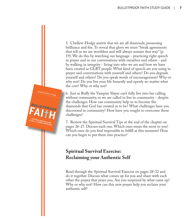5. Chellew-Hodge asserts that we are all diamonds, possessing brilliance and fire. To reveal that glory we must "break agreements that tell us we are worthless and will always remain that way" (p. 19). We do this by watching our language - practicing right speech in prayer and in our conversations with ourselves and others - and by walking in integrity - living into who we are and how we have been created as GLBT people. What kind of speech are you using in prayer and conversations with yourself and others? Do you degrade yourself and others? Do you speak words of encouragement? Why or why not? Do you live your life honestly and openly no matter what the cost? Why or why not?

6. Just as Buffy the Vampire Slayer can't fully live into her calling without community, so we are called to live in community - despite the challenges. How can community help us to become the diamonds that God has created us to be? What challenges have you discovered in community? How have you sought to overcome those challenges?

7. Review the Spiritual Survival Tips at the end of the chapter on pages 26-27. Discuss each one. Which ones mean the most to you? Which ones do you find impossible to fulfill at this moment? How can you begin to put them into practice?

## **Spiritual Survival Exercise: Reclaiming your Authentic Self**

Read through the Spiritual Survival Exercise on pages 28-32 and do it together. Discuss what comes up for you and share with each other the prayer that prays you. Are you surprised by what came up? Why or why not? How can this new prayer help you reclaim your authentic self?

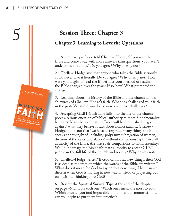## 5 **Session Three: Chapter 3**

## **Chapter 3: Learning to Love the Questions**

1. A seminary professor told Chellew-Hodge, "If you read the Bible and come away with more answers than questions, you haven't understood the Bible." Do you agree? Why or why not?

2. Chellew-Hodge says that anyone who takes the Bible seriously could never take it literally. Do you agree? Why or why not? How were you taught to read the Bible? Has your method of reading the Bible changed over the years? If so, how? What prompted the change?

3. Learning about the history of the Bible and the church almost shipwrecked Chellew-Hodge's faith. What has challenged your faith in the past? What did you do to overcome those challenges?

4. Accepting GLBT Christians fully into the life of the church poses a serious question of biblical authority to more fundamentalist believers. Many believe that the Bible will be diminished if "go against" what they believe it says about homosexuality. Chellew-Hodge points out that "we have disregarded many things the Bible speaks approvingly of, including polygamy, subjugation of women, division of the races, and slavery" without compromising the overall authority of the Bible. Are these fair comparisons to homosexuality? Would it damage the Bible's ultimate authority to accept GLBT people in the full life of the church and society? Why or why not?

5. Chellew-Hodge writes, "If God cannot say new things, then God is as dead as the trees on which the words of the Bible are written." What does it mean for God to say or do a new thing? How can we discern when God is moving in new ways, instead of projecting our own wishful thinking onto God?

6. Review the Spiritual Survival Tips at the end of the chapter on page 46. Discuss each one. Which ones mean the most to you? Which ones do you find impossible to fulfill at this moment? How can you begin to put them into practice?

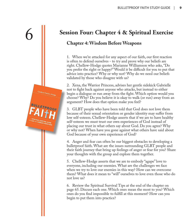

## 6 **Session Four: Chapter 4 & Spiritual Exercise**

## **Chapter 4: Wisdom Before Weapons**

1. When we're attacked for any aspect of our faith, our first reaction is often to defend ourselves - to try and prove why our beliefs are right. Chellew-Hodge quotes Marianne Williamson who asks, "Do you prefer tbe right or happy?" Would it be difficult for you to put that advice into practice? Why or why not? Why do we need our beliefs validated by those who disagree with us?

2. Xena, the Warrior Princess, advises her gentle sidekick Gabrielle not to fight back against anyone who attacks, but instead to either begin a dialogue or run away from the fight. Which option would you choose? Why? Do you believe it is okay to walk (or run) away from an argument? How does that option make you feel?

3. GLBT people who have been told that God does not love them because of their sexual orientation or gender identity may suffer from low self-esteem. Chellew-Hodge asserts that if we are to have healthy self-esteem we must trust our own experiences of God instead of placing our trust in what others say about God. Do you agree? Why or why not? When have you gone against what others have said about God because of your own experience of God?

4. Anger and fear can often be our biggest obstacles to developing a bulletproof faith. What are the issues surrounding GLBT people and their faith journey that bring up feelings of anger or fear for you? Share your thoughts with the group and explore them together.

5. Chellew-Hodge asserts that we are to embody "agape" love to everyone, including our enemies. What are the challenges we face when we try to love our enemies in this way? How can we overcome them? What does it mean to "will" ourselves to love even those who do not love us?

6. Review the Spiritual Survival Tips at the end of the chapter on page 65. Discuss each one. Which ones mean the most to you? Which ones do you find impossible to fulfill at this moment? How can you begin to put them into practice?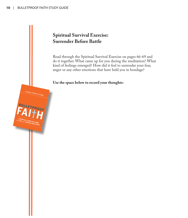## **Spiritual Survival Exercise: Surrender Before Battle**

Read through the Spiritual Survival Exercise on pages 66-69 and do it together. What came up for you during the meditation? What kind of feelings emerged? How did it feel to surrender your fear, anger or any other emotions that have held you in bondage?

**Use the space below to record your thoughts:**

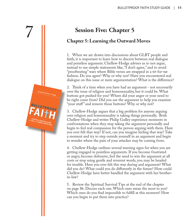

## **Chapter 5: Learning the Outward Moves**

1. When we are drawn into discussions about GLBT people and faith, it is important to learn how to discern between real dialogue and pointless argument. Chellew-Hodge advises us to not argue, instead to use simple statements like, "I don't agree," and to avoid "prooftexting" wars where Bible verses are swapped in a tit-for-tat fashion. Do you agree? Why or why not? Have you encountered real dialogue on this issue or mere argumentation? What is the difference?

2. Think of a time when you have had an argument - not necessarily over the issue of religion and homosexuality, but it could be. What buttons got pushed for you? Where did your anger or your need to be right come from? Did you use the argument to help you examine "your stuff " and remove those buttons? Why or why not?

3. Chellew-Hodge argues that a big problem for anyone arguing over religion and homosexuality is taking things personally. Both Chellew-Hodge and writer Philip Gulley experience moments in confrontations when they stop taking the argument personally and begin to feel real compassion for the person arguing with them. Have you ever felt that way? If not, can you imagine feeling that way? Take a moment and try to step outside yourself in an argument and begin to wonder where the pain of your attacker may be coming from.

4. Chellew-Hodge outlines several warning signs for when you are getting engaged in pointless arguments. If you become frustrated or angry, become defensive, feel the need to win the argument at all costs or stop using gentle and reverent words, you may be headed for trouble. Have you ever felt this way during and argument? What did you do? What could you do differently in the future? How could Chellew-Hodge have better handled the argument with her brotherin-law?

5. Review the Spiritual Survival Tips at the end of the chapter on page 86. Discuss each one. Which ones mean the most to you? Which ones do you find impossible to fulfill at this moment? How can you begin to put them into practice?

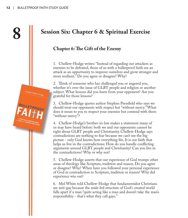## **8 Session Six: Chapter 6 & Spiritual Exercise**

## **Chapter 6: The Gift of the Enemy**

1. Chellew-Hodge writes: "Instead of regarding our attackers as enemies to be defeated, those of us with a bulletproof faith see an attack as an opportunity to improve ourselves and grow stronger and more resilient." Do you agree or disagree? Why?

2. Think of someone who has challenged you or angered you, whether it's over the issue of GLBT people and religion or another subject. What lessons did you learn from your opponent? Are you grateful for those lessons?

3. Chellew-Hodge quotes author Stephen Pressfield who says we should treat our opponents with respect but "without mercy." What does it mean to you to respect your enemies but contend with them "without mercy"?

4. Chellew-Hodge's brother-in-law makes a statement many of us may have heard before: both we and our opponents cannot be right about GLBT people and Christianity. Chellew-Hodge says contradictions are nothing to fear because we can't see the big picture - only God knows how everything fits. It is our faith that helps us live in the contradictions. How do you handle conflicting arguments around GLBT people and Christianity? Can you live in the contradictions? Why or why not?

5. Chellew-Hodge asserts that our experience of God trumps other areas of theology like Scripture, tradition and reason. Do you agree or disagree? Why? When have you followed your personal experience of God in contradiction to Scripture, tradition or reason? Why did experience win out?

6. Mel White told Chellew-Hodge that fundamentalist Christians are anti-gay because the male-led structure of God's created world falls apart if a man "quits acting like a man and doesn't take the man's responsibility - that's what they call gays."

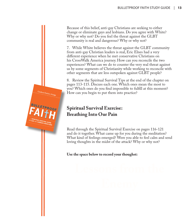Because of this belief, anti-gay Christians are seeking to either change or eliminate gays and lesbians. Do you agree with White? Why or why not? Do you feel the threat against the GLBT community is real and dangerous? Why or why not?

7. While White believes the threat against the GLBT community from anti-gay Christian leaders is real, Eric Elnes had a very different experience when he met conservative Christians on his CrossWalk America journey. How can you reconcile the two experiences? What can we do to counter the very real threat against us by some segments of Christianity while working to reconcile with other segments that are less outspoken against GLBT people?

8. Review the Spiritual Survival Tips at the end of the chapter on pages 113-115. Discuss each one. Which ones mean the most to you? Which ones do you find impossible to fulfill at this moment? How can you begin to put them into practice?

## **Spiritual Survival Exercise: Breathing Into Our Pain**

Read through the Spiritual Survival Exercise on pages 116-121 and do it together. What came up for you during the meditation? What kind of feelings emerged? Were you able to feel calm and send loving thoughts in the midst of the attack? Why or why not?

**Use the space below to record your thoughst:** 

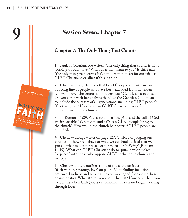# **9**<br> **Session Seven: Chapter 7**<br> **Chapter 7: The Only Thing That Counts**

1. Paul, in Galatians 5:6 writes: "The only thing that counts is faith working through love." What does that mean to you? Is this really "the only thing that counts"? What does that mean for our faith as GLBT Christians or allies if this is true?

2. Chellew-Hodge believes that GLBT people are faith are one of a long line of people who have been excluded from Christian fellowship over the centuries – modern day "Gentiles," so to speak. Do you agree with her analysis that, like the Gentiles, God means to include the outcasts of all generations, including GLBT people? If not, why not? If so, how can GLBT Christians work for full inclusion within the church?

3. In Romans 11:29, Paul asserts that "the gifts and the call of God are irrevocable." What gifts and calls can GLBT people bring to the church? How would the church be poorer if GLBT people are excluded?

4. Chellew-Hodge writes on page 127: "Instead of judging one another for how we behave or what we eat, Paul advised that we 'pursue what makes for peace or for mutual upbuilding' (Romans 14:19). What can GLBT Christians do to "pursue what makes for peace" with those who oppose GLBT inclusion in church and society?

5. Chellew-Hodge outlines some of the characteristics of "faith working through love" on page 131, including inclusion, patience, kindness and seeking the common good. Look over these characteristics. What strikes you about that list? How can it help you to identify when faith (yours or someone else's) is no longer working through love?

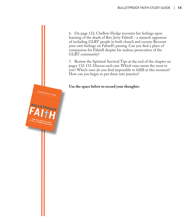6. On page 132, Chellew-Hodge recounts her feelings upon learning of the death of Rev. Jerry Falwell – a staunch opponent of including GLBT people in both church and society. Recount your own feelings on Falwell's passing. Can you find a place of compassion for Falwell despite his zealous persecution of the GLBT community?

7. Review the Spiritual Survival Tips at the end of the chapter on pages 132-133. Discuss each one. Which ones mean the most to you? Which ones do you find impossible to fulfill at this moment? How can you begin to put them into practice?

#### **Use the space below to record your thoughts:**

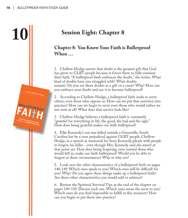# **10 Session Eight: Chapter 8**

## **Chapter 8: You Know Your Faith is Bulletproof When …**

1. Chellew-Hodge asserts that doubt is the greatest gift that God has given to GLBT people because it forces them to fully examine their faith. "A bulletproof faith embraces the doubt," she writes. What kind of doubts have you struggled with? What doubts remain? Do you see these doubts as a gift or a curse? Why? How can you embrace your doubt and use it to become bulletproof?

2. According to Chellew-Hodge, a bulletproof faith seeks to serve others, even those who oppose us. How can we put that assertion into practice? How can we begin to serve even those who would rather we not exist at all? What does that service look like?

3. Chellew-Hodge believes a bulletproof faith is constantly "grateful for everything in life, the good, the bad and the ugly." How does being grateful makes our faith bulletproof?

4. Elke Kennedy's son was killed outside a Greenville, South Carolina bar by a man prejudiced against GLBT people. Chellew-Hodge, in a speech at memorial for Sean Kennedy, pleads with people to forgive his killer - even though Mrs. Kennedy said she wasn't at that point yet. How does being forgiving, even toward those who would kill us, make our faith bulletproof? Would you be able to forgive in these circumstances? Why or why not?

5. Look over the other characteristics of a bulletproof faith on pages 140-149. Which ones speak to you? Which ones will be difficult for you? Why? Do you agree these things make up a bulletproof faith? Are there other characteristics you would add or subtract?

6. Review the Spiritual Survival Tips at the end of the chapter on pages 149-150. Discuss each one. Which ones mean the most to you? Which ones do you find impossible to fulfill at this moment? How can you begin to put them into practice?

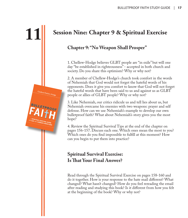## **11 Session Nine: Chapter 9 & Spiritual Exercise**

## **Chapter 9: "No Weapon Shall Prosper"**

1. Chellew-Hodge believes GLBT people are "in exile" but will one day "be established in righteousness" - accepted in both church and society. Do you share this optimism? Why or why not?

2. A member of Chellew-Hodge's church took comfort in the words of Nehemiah that God would not forget the hateful words of his opponents. Does it give you comfort to know that God will not forget the hateful words that have been said to us and against us as GLBT people or allies of GLBT people? Why or why not?

3. Like Nehemiah, our critics ridicule us and tell lies about us, but Nehemiah overcame his enemies with two weapons: prayer and self defense. How can we use Nehemiah's example to develop our own bulletproof faith? What about Nehemiah's story gives you the most hope?

4. Review the Spiritual Survival Tips at the end of the chapter on pages 156-157. Discuss each one. Which ones mean the most to you? Which ones do you find impossible to fulfill at this moment? How can you begin to put them into practice?

## **Spiritual Survival Exercise: Is That Your Final Answer?**

Read through the Spiritual Survival Exercise on pages 158-160 and do it together. How is your response to the hate mail different? What changed? What hasn't changed? How do you feel rereading the email after reading and studying this book? Is it different from how you felt at the beginning of the book? Why or why not?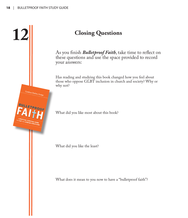

**12 Closing Questions** As you finish *Bulletproof Faith*, take time to reflect on these questions and use the space provided to record your answers:

> Has reading and studying this book changed how you feel about those who oppose GLBT inclusion in church and society? Why or why not?

What did you like most about this book?

What did you like the least?

What does it mean to you now to have a "bulletproof faith"?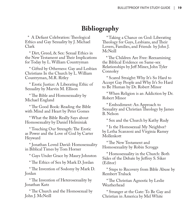## **Bibliography**

 \* A Defiant Celebration: Theological Ethics and Gay Sexuality by J. Michael Clark

 \* Dirt, Greed, & Sex: Sexual Ethics in the New Testament and Their Implications for Today by L. William Countryman

 \* Gifted by Otherness: Gay and Lesbian Christians In the Church by L. William Countryman, M.R. Ritley

 \* Erotic Justice: A Liberating Ethic of Sexuality by Marvin M. Ellison

 \* The Bible and Homosexuality by Michael England

 \* The Good Book: Reading the Bible with Mind and Heart by Peter Gomes

 \* What the Bible Really Says about Homosexuality by Daniel Helminiak

 \* Touching Our Strength: The Erotic as Power and the Love of God by Carter Heyward

 \* Jonathan Loved David: Homosexuality in Biblical Times by Tom Horner

\* Gays Under Grace by Maury Johnston

\* The Ethics of Sex by Mark D. Jordan

 \* The Invention of Sodomy by Mark D. Jordan

 \* The Invention of Heterosexuality by Jonathan Katz

 \* The Church and the Homosexual by John J. McNeill

 \* Taking a Chance on God: Liberating Theology for Gays, Lesbians, and Their Lovers, Families, and Friends by John J. McNeill

 \* The Children Are Free: Reexamining the Biblical Evidence on Same-sex Relationships by Jeff Miner, John Tyler Connoley

 \* Scared Straight: Why It's So Hard to Accept Gay People and Why It's So Hard to Be Human by Dr. Robert Minor

 \* When Religion is an Addiction by Dr. Robert Minor

 \* Embodiment: An Approach to Sexuality and Christian Theology by James B. Nelson

\* Sex and the Church by Kathy Rudy

 \* Is the Homosexual My Neighbor? by Letha Scanzoni and Virginia Ramey Mollenkott

 \* The New Testament and Homosexuality by Robin Scroggs

 \* Homosexuality in the Church: Both Sides of the Debate by Jeffrey S. Siker (Editor)

 \* Steps to Recovery from Bible Abuse by Rembert Truluck

 \* The Christian Agnostic by Leslie Weatherhead

 \* Stranger at the Gate: To Be Gay and Christian in America by Mel White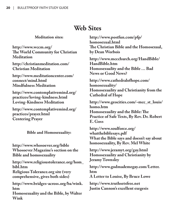## **Web Sites**

#### **Meditation sites:**

**http://www.wccm.org/ The World Community for Christian Meditation**

**http://christianmeditation.com/ Christian Meditation**

**http://www.meditationcenter.com/ connect/mind.html Mindfulness Meditation**

**http://www.contemplativemind.org/ practices/loving-kindness.html Loving-Kindness Meditation**

**http://www.contemplativemind.org/ practices/prayer.html Centering Prayer**

**Bible and Homosexuality:** 

**http://www.whosoever.org/bible Whosoever Magazine's section on the Bible and homosexuality**

**http://www.religioustolerance.org/hom\_ bibl.htm**

**Religious Tolerance.org site (very comprehensive, gives both sides)**

**http://www.bridges-across.org/ba/wink. htm**

**Homosexuality and the Bible, by Walter Wink**

**http://www.postfun.com/pfp/ homosexual.html The Christian Bible and the Homosexual, by Dean Worbois**

**http://www.mccchurch.org/HandBible/ HandBible.htm Homosexuality and the Bible … Bad News or Good News?**

**http://www.cathedralofhope.com/ homosexuality/ Homosexuality and Christianity from the Cathedral of Hope**

**http://www.geocities.com/~mcc\_st\_louis/ homo.htm Homosexuality and the Bible: The Practice of Safe Texts, By Rev. Dr. Robert** 

**E. Goss**

**http://www.soulforce.org/ whatthebiblesays.pdf What the Bible says and doesn't say about homosexuality, By Rev. Mel White**

**http://www.jeramyt.org/gay.html Homosexuality and Christianity by Jeramy Townsley**

**http://www.godmademegay.com/Letter. htm**

**A Letter to Louise, By Bruce Lowe**

**http://www.truthsetsfree.net Justin Cannon's excellent exegesis**